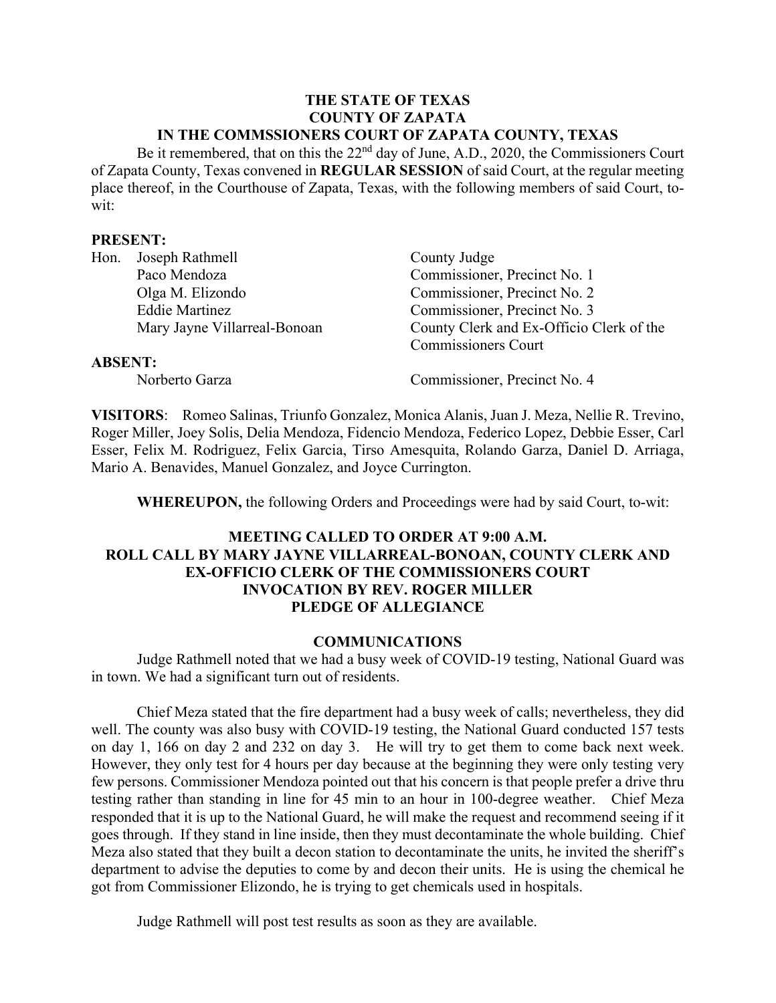#### **THE STATE OF TEXAS COUNTY OF ZAPATA IN THE COMMSSIONERS COURT OF ZAPATA COUNTY, TEXAS**

Be it remembered, that on this the 22<sup>nd</sup> day of June, A.D., 2020, the Commissioners Court of Zapata County, Texas convened in **REGULAR SESSION** of said Court, at the regular meeting place thereof, in the Courthouse of Zapata, Texas, with the following members of said Court, towit:

### **PRESENT:**

| Hon.           | Joseph Rathmell              | County Judge                             |
|----------------|------------------------------|------------------------------------------|
|                | Paco Mendoza                 | Commissioner, Precinct No. 1             |
|                | Olga M. Elizondo             | Commissioner, Precinct No. 2             |
|                | <b>Eddie Martinez</b>        | Commissioner, Precinct No. 3             |
|                | Mary Jayne Villarreal-Bonoan | County Clerk and Ex-Officio Clerk of the |
|                |                              | <b>Commissioners Court</b>               |
| <b>ABSENT:</b> |                              |                                          |
|                | Norberto Garza               | Commissioner, Precinct No. 4             |

**VISITORS**: Romeo Salinas, Triunfo Gonzalez, Monica Alanis, Juan J. Meza, Nellie R. Trevino, Roger Miller, Joey Solis, Delia Mendoza, Fidencio Mendoza, Federico Lopez, Debbie Esser, Carl Esser, Felix M. Rodriguez, Felix Garcia, Tirso Amesquita, Rolando Garza, Daniel D. Arriaga, Mario A. Benavides, Manuel Gonzalez, and Joyce Currington.

**WHEREUPON,** the following Orders and Proceedings were had by said Court, to-wit:

# **MEETING CALLED TO ORDER AT 9:00 A.M. ROLL CALL BY MARY JAYNE VILLARREAL-BONOAN, COUNTY CLERK AND EX-OFFICIO CLERK OF THE COMMISSIONERS COURT INVOCATION BY REV. ROGER MILLER PLEDGE OF ALLEGIANCE**

### **COMMUNICATIONS**

Judge Rathmell noted that we had a busy week of COVID-19 testing, National Guard was in town. We had a significant turn out of residents.

Chief Meza stated that the fire department had a busy week of calls; nevertheless, they did well. The county was also busy with COVID-19 testing, the National Guard conducted 157 tests on day 1, 166 on day 2 and 232 on day 3. He will try to get them to come back next week. However, they only test for 4 hours per day because at the beginning they were only testing very few persons. Commissioner Mendoza pointed out that his concern is that people prefer a drive thru testing rather than standing in line for 45 min to an hour in 100-degree weather. Chief Meza responded that it is up to the National Guard, he will make the request and recommend seeing if it goes through. If they stand in line inside, then they must decontaminate the whole building. Chief Meza also stated that they built a decon station to decontaminate the units, he invited the sheriff's department to advise the deputies to come by and decon their units. He is using the chemical he got from Commissioner Elizondo, he is trying to get chemicals used in hospitals.

Judge Rathmell will post test results as soon as they are available.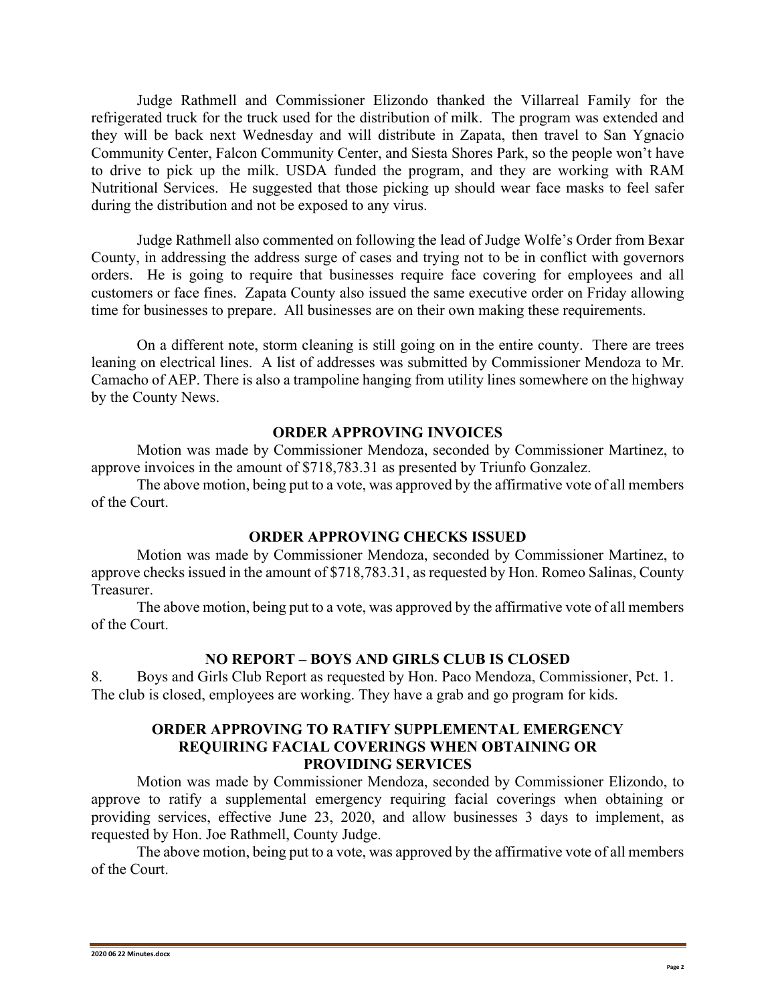Judge Rathmell and Commissioner Elizondo thanked the Villarreal Family for the refrigerated truck for the truck used for the distribution of milk. The program was extended and they will be back next Wednesday and will distribute in Zapata, then travel to San Ygnacio Community Center, Falcon Community Center, and Siesta Shores Park, so the people won't have to drive to pick up the milk. USDA funded the program, and they are working with RAM Nutritional Services. He suggested that those picking up should wear face masks to feel safer during the distribution and not be exposed to any virus.

Judge Rathmell also commented on following the lead of Judge Wolfe's Order from Bexar County, in addressing the address surge of cases and trying not to be in conflict with governors orders. He is going to require that businesses require face covering for employees and all customers or face fines. Zapata County also issued the same executive order on Friday allowing time for businesses to prepare. All businesses are on their own making these requirements.

On a different note, storm cleaning is still going on in the entire county. There are trees leaning on electrical lines. A list of addresses was submitted by Commissioner Mendoza to Mr. Camacho of AEP. There is also a trampoline hanging from utility lines somewhere on the highway by the County News.

#### **ORDER APPROVING INVOICES**

Motion was made by Commissioner Mendoza, seconded by Commissioner Martinez, to approve invoices in the amount of \$718,783.31 as presented by Triunfo Gonzalez.

The above motion, being put to a vote, was approved by the affirmative vote of all members of the Court.

#### **ORDER APPROVING CHECKS ISSUED**

Motion was made by Commissioner Mendoza, seconded by Commissioner Martinez, to approve checks issued in the amount of \$718,783.31, as requested by Hon. Romeo Salinas, County Treasurer.

The above motion, being put to a vote, was approved by the affirmative vote of all members of the Court.

#### **NO REPORT – BOYS AND GIRLS CLUB IS CLOSED**

8. Boys and Girls Club Report as requested by Hon. Paco Mendoza, Commissioner, Pct. 1. The club is closed, employees are working. They have a grab and go program for kids.

### **ORDER APPROVING TO RATIFY SUPPLEMENTAL EMERGENCY REQUIRING FACIAL COVERINGS WHEN OBTAINING OR PROVIDING SERVICES**

Motion was made by Commissioner Mendoza, seconded by Commissioner Elizondo, to approve to ratify a supplemental emergency requiring facial coverings when obtaining or providing services, effective June 23, 2020, and allow businesses 3 days to implement, as requested by Hon. Joe Rathmell, County Judge.

The above motion, being put to a vote, was approved by the affirmative vote of all members of the Court.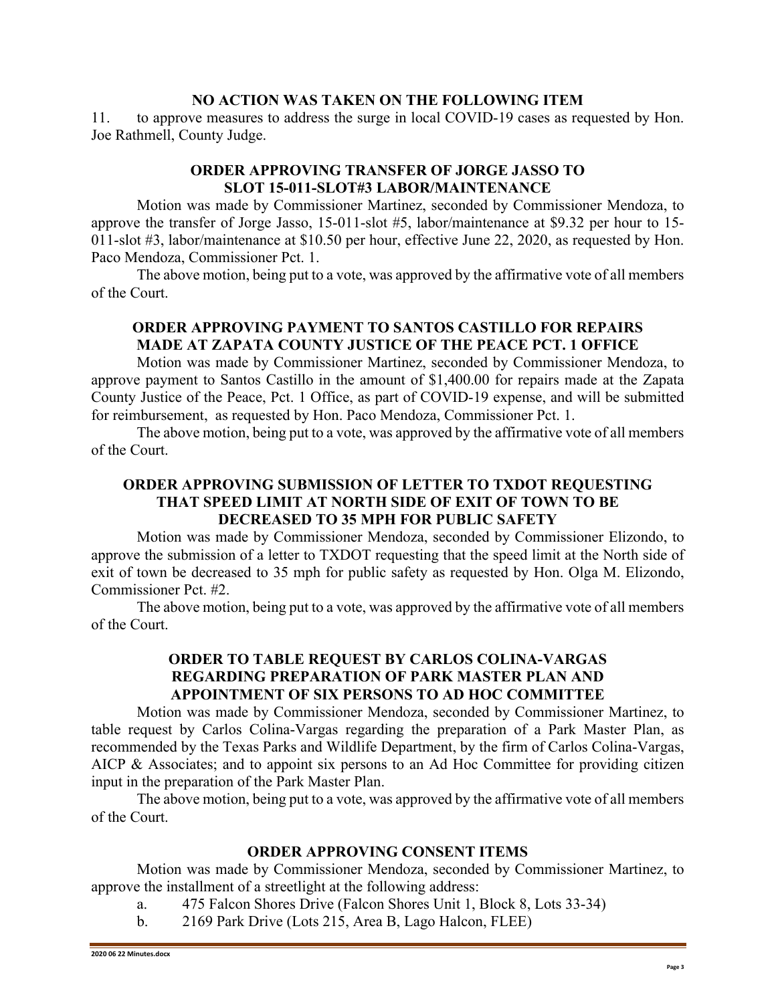### **NO ACTION WAS TAKEN ON THE FOLLOWING ITEM**

11. to approve measures to address the surge in local COVID-19 cases as requested by Hon. Joe Rathmell, County Judge.

# **ORDER APPROVING TRANSFER OF JORGE JASSO TO SLOT 15-011-SLOT#3 LABOR/MAINTENANCE**

Motion was made by Commissioner Martinez, seconded by Commissioner Mendoza, to approve the transfer of Jorge Jasso, 15-011-slot #5, labor/maintenance at \$9.32 per hour to 15- 011-slot #3, labor/maintenance at \$10.50 per hour, effective June 22, 2020, as requested by Hon. Paco Mendoza, Commissioner Pct. 1.

The above motion, being put to a vote, was approved by the affirmative vote of all members of the Court.

# **ORDER APPROVING PAYMENT TO SANTOS CASTILLO FOR REPAIRS MADE AT ZAPATA COUNTY JUSTICE OF THE PEACE PCT. 1 OFFICE**

Motion was made by Commissioner Martinez, seconded by Commissioner Mendoza, to approve payment to Santos Castillo in the amount of \$1,400.00 for repairs made at the Zapata County Justice of the Peace, Pct. 1 Office, as part of COVID-19 expense, and will be submitted for reimbursement, as requested by Hon. Paco Mendoza, Commissioner Pct. 1.

The above motion, being put to a vote, was approved by the affirmative vote of all members of the Court.

# **ORDER APPROVING SUBMISSION OF LETTER TO TXDOT REQUESTING THAT SPEED LIMIT AT NORTH SIDE OF EXIT OF TOWN TO BE DECREASED TO 35 MPH FOR PUBLIC SAFETY**

Motion was made by Commissioner Mendoza, seconded by Commissioner Elizondo, to approve the submission of a letter to TXDOT requesting that the speed limit at the North side of exit of town be decreased to 35 mph for public safety as requested by Hon. Olga M. Elizondo, Commissioner Pct. #2.

The above motion, being put to a vote, was approved by the affirmative vote of all members of the Court.

# **ORDER TO TABLE REQUEST BY CARLOS COLINA-VARGAS REGARDING PREPARATION OF PARK MASTER PLAN AND APPOINTMENT OF SIX PERSONS TO AD HOC COMMITTEE**

Motion was made by Commissioner Mendoza, seconded by Commissioner Martinez, to table request by Carlos Colina-Vargas regarding the preparation of a Park Master Plan, as recommended by the Texas Parks and Wildlife Department, by the firm of Carlos Colina-Vargas, AICP & Associates; and to appoint six persons to an Ad Hoc Committee for providing citizen input in the preparation of the Park Master Plan.

The above motion, being put to a vote, was approved by the affirmative vote of all members of the Court.

### **ORDER APPROVING CONSENT ITEMS**

Motion was made by Commissioner Mendoza, seconded by Commissioner Martinez, to approve the installment of a streetlight at the following address:

- a. 475 Falcon Shores Drive (Falcon Shores Unit 1, Block 8, Lots 33-34)
- b. 2169 Park Drive (Lots 215, Area B, Lago Halcon, FLEE)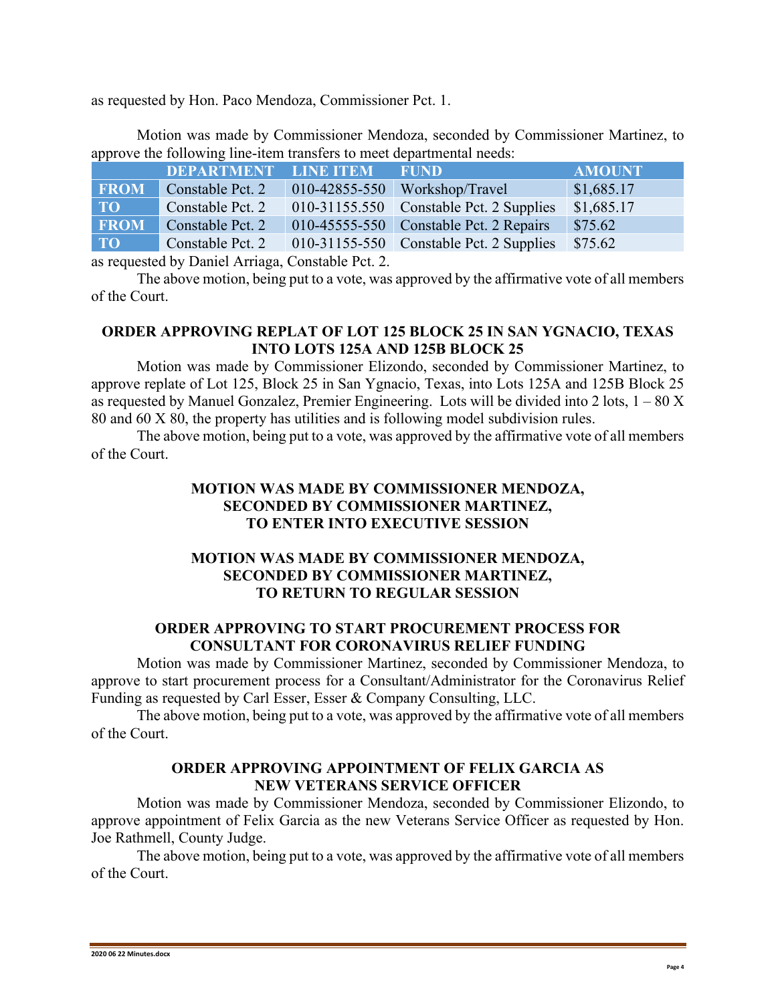as requested by Hon. Paco Mendoza, Commissioner Pct. 1.

Motion was made by Commissioner Mendoza, seconded by Commissioner Martinez, to approve the following line-item transfers to meet departmental needs:

|             | <b>DEPARTMENT LINE ITEM</b> |               | <b>FUND</b>                             | <b>AMOUNT</b> |
|-------------|-----------------------------|---------------|-----------------------------------------|---------------|
| <b>FROM</b> | Constable Pct. 2            | 010-42855-550 | Workshop/Travel                         | \$1,685.17    |
| TO          | Constable Pct. 2            | 010-31155.550 | Constable Pct. 2 Supplies               | \$1,685.17    |
| <b>FROM</b> | Constable Pct. 2            |               | 010-45555-550 Constable Pct. 2 Repairs  | \$75.62       |
| TO T        | Constable Pct. 2            |               | 010-31155-550 Constable Pct. 2 Supplies | \$75.62       |

as requested by Daniel Arriaga, Constable Pct. 2.

The above motion, being put to a vote, was approved by the affirmative vote of all members of the Court.

# **ORDER APPROVING REPLAT OF LOT 125 BLOCK 25 IN SAN YGNACIO, TEXAS INTO LOTS 125A AND 125B BLOCK 25**

Motion was made by Commissioner Elizondo, seconded by Commissioner Martinez, to approve replate of Lot 125, Block 25 in San Ygnacio, Texas, into Lots 125A and 125B Block 25 as requested by Manuel Gonzalez, Premier Engineering. Lots will be divided into 2 lots,  $1 - 80$  X 80 and 60 X 80, the property has utilities and is following model subdivision rules.

The above motion, being put to a vote, was approved by the affirmative vote of all members of the Court.

# **MOTION WAS MADE BY COMMISSIONER MENDOZA, SECONDED BY COMMISSIONER MARTINEZ, TO ENTER INTO EXECUTIVE SESSION**

# **MOTION WAS MADE BY COMMISSIONER MENDOZA, SECONDED BY COMMISSIONER MARTINEZ, TO RETURN TO REGULAR SESSION**

#### **ORDER APPROVING TO START PROCUREMENT PROCESS FOR CONSULTANT FOR CORONAVIRUS RELIEF FUNDING**

Motion was made by Commissioner Martinez, seconded by Commissioner Mendoza, to approve to start procurement process for a Consultant/Administrator for the Coronavirus Relief Funding as requested by Carl Esser, Esser & Company Consulting, LLC.

The above motion, being put to a vote, was approved by the affirmative vote of all members of the Court.

### **ORDER APPROVING APPOINTMENT OF FELIX GARCIA AS NEW VETERANS SERVICE OFFICER**

Motion was made by Commissioner Mendoza, seconded by Commissioner Elizondo, to approve appointment of Felix Garcia as the new Veterans Service Officer as requested by Hon. Joe Rathmell, County Judge.

The above motion, being put to a vote, was approved by the affirmative vote of all members of the Court.